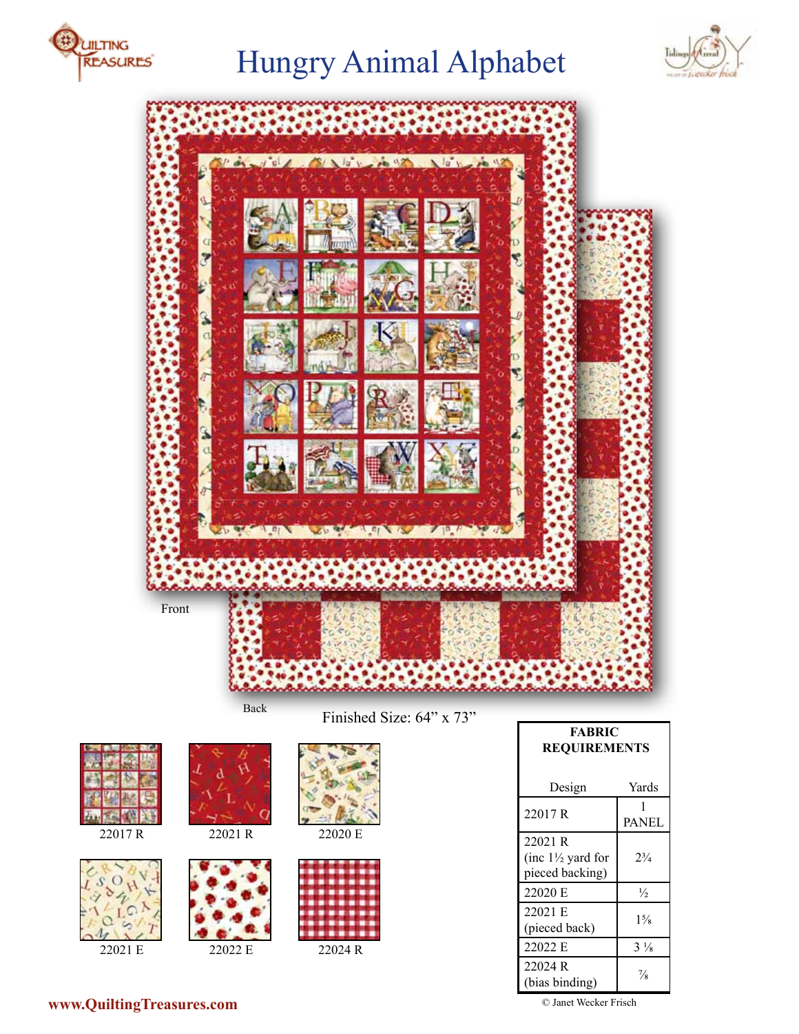

# Hungry Animal Alphabet





Finished Size: 64" x 73"





22021 E 22022 E 22024 R





22017 R 22021 R 22020 E





| <b>FABRIC</b><br><b>REQUIREMENTS</b>                       |                   |
|------------------------------------------------------------|-------------------|
| Design                                                     | Yards             |
| 22017 R                                                    | 1<br><b>PANEL</b> |
| 22021 R<br>(inc $1\frac{1}{2}$ yard for<br>pieced backing) | $2^{3}/_{4}$      |
| 22020 E                                                    | $\frac{1}{2}$     |
| 22021 E<br>(pieced back)                                   | $1\frac{5}{8}$    |
| 22022 E                                                    | $3\frac{1}{8}$    |
| 22024 R<br>(bias binding)                                  | $\frac{7}{8}$     |